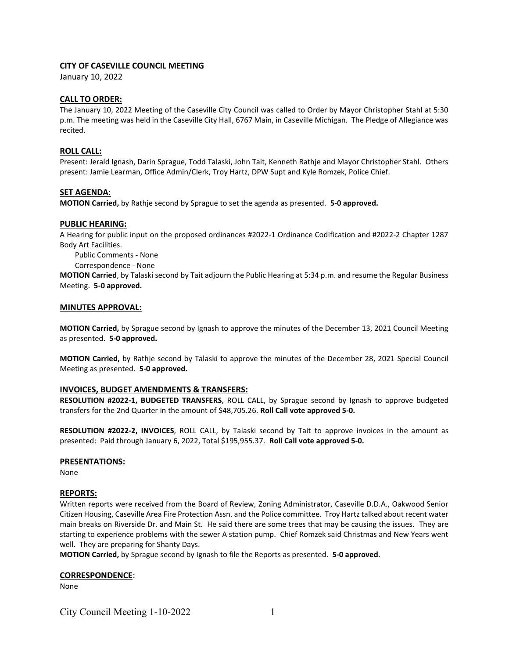# CITY OF CASEVILLE COUNCIL MEETING

January 10, 2022

## CALL TO ORDER:

The January 10, 2022 Meeting of the Caseville City Council was called to Order by Mayor Christopher Stahl at 5:30 p.m. The meeting was held in the Caseville City Hall, 6767 Main, in Caseville Michigan. The Pledge of Allegiance was recited.

## ROLL CALL:

Present: Jerald Ignash, Darin Sprague, Todd Talaski, John Tait, Kenneth Rathje and Mayor Christopher Stahl. Others present: Jamie Learman, Office Admin/Clerk, Troy Hartz, DPW Supt and Kyle Romzek, Police Chief.

# SET AGENDA:

MOTION Carried, by Rathje second by Sprague to set the agenda as presented. 5-0 approved.

## PUBLIC HEARING:

A Hearing for public input on the proposed ordinances #2022-1 Ordinance Codification and #2022-2 Chapter 1287 Body Art Facilities.

Public Comments - None

Correspondence - None

MOTION Carried, by Talaski second by Tait adjourn the Public Hearing at 5:34 p.m. and resume the Regular Business Meeting. 5-0 approved.

## MINUTES APPROVAL:

MOTION Carried, by Sprague second by Ignash to approve the minutes of the December 13, 2021 Council Meeting as presented. 5-0 approved.

MOTION Carried, by Rathje second by Talaski to approve the minutes of the December 28, 2021 Special Council Meeting as presented. 5-0 approved.

# INVOICES, BUDGET AMENDMENTS & TRANSFERS:

RESOLUTION #2022-1, BUDGETED TRANSFERS, ROLL CALL, by Sprague second by Ignash to approve budgeted transfers for the 2nd Quarter in the amount of \$48,705.26. Roll Call vote approved 5-0.

RESOLUTION #2022-2, INVOICES, ROLL CALL, by Talaski second by Tait to approve invoices in the amount as presented: Paid through January 6, 2022, Total \$195,955.37. Roll Call vote approved 5-0.

#### PRESENTATIONS:

None

# REPORTS:

Written reports were received from the Board of Review, Zoning Administrator, Caseville D.D.A., Oakwood Senior Citizen Housing, Caseville Area Fire Protection Assn. and the Police committee. Troy Hartz talked about recent water main breaks on Riverside Dr. and Main St. He said there are some trees that may be causing the issues. They are starting to experience problems with the sewer A station pump. Chief Romzek said Christmas and New Years went well. They are preparing for Shanty Days.

MOTION Carried, by Sprague second by Ignash to file the Reports as presented. 5-0 approved.

#### CORRESPONDENCE:

None

City Council Meeting 1-10-2022 1